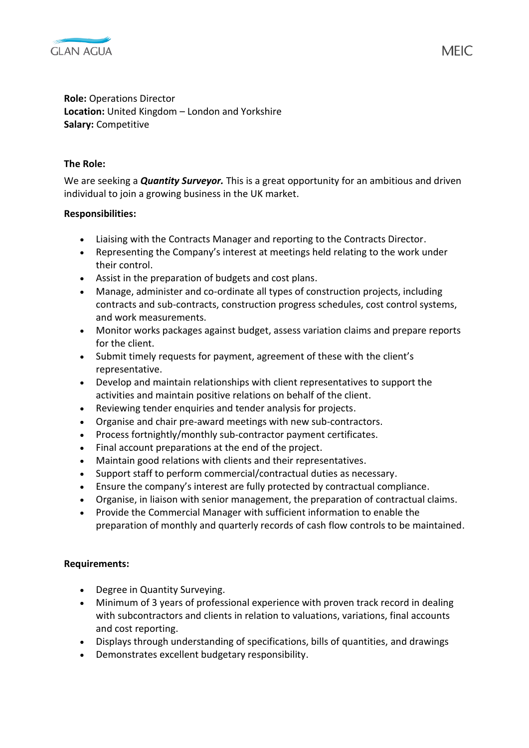

**Role:** Operations Director **Location:** United Kingdom – London and Yorkshire **Salary:** Competitive

## **The Role:**

We are seeking a *Quantity Surveyor.* This is a great opportunity for an ambitious and driven individual to join a growing business in the UK market.

## **Responsibilities:**

- Liaising with the Contracts Manager and reporting to the Contracts Director.
- Representing the Company's interest at meetings held relating to the work under their control.
- Assist in the preparation of budgets and cost plans.
- Manage, administer and co-ordinate all types of construction projects, including contracts and sub-contracts, construction progress schedules, cost control systems, and work measurements.
- Monitor works packages against budget, assess variation claims and prepare reports for the client.
- Submit timely requests for payment, agreement of these with the client's representative.
- Develop and maintain relationships with client representatives to support the activities and maintain positive relations on behalf of the client.
- Reviewing tender enquiries and tender analysis for projects.
- Organise and chair pre-award meetings with new sub-contractors.
- Process fortnightly/monthly sub-contractor payment certificates.
- Final account preparations at the end of the project.
- Maintain good relations with clients and their representatives.
- Support staff to perform commercial/contractual duties as necessary.
- Ensure the company's interest are fully protected by contractual compliance.
- Organise, in liaison with senior management, the preparation of contractual claims.
- Provide the Commercial Manager with sufficient information to enable the preparation of monthly and quarterly records of cash flow controls to be maintained.

## **Requirements:**

- Degree in Quantity Surveying.
- Minimum of 3 years of professional experience with proven track record in dealing with subcontractors and clients in relation to valuations, variations, final accounts and cost reporting.
- Displays through understanding of specifications, bills of quantities, and drawings
- Demonstrates excellent budgetary responsibility.